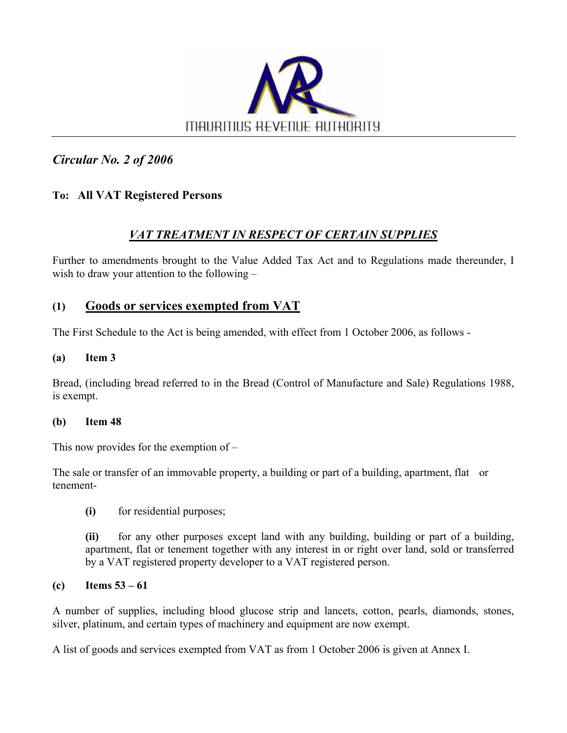

# *Circular No. 2 of 2006*

## **To: All VAT Registered Persons**

# *VAT TREATMENT IN RESPECT OF CERTAIN SUPPLIES*

Further to amendments brought to the Value Added Tax Act and to Regulations made thereunder, I wish to draw your attention to the following –

## **(1) Goods or services exempted from VAT**

The First Schedule to the Act is being amended, with effect from 1 October 2006, as follows -

### **(a) Item 3**

Bread, (including bread referred to in the Bread (Control of Manufacture and Sale) Regulations 1988, is exempt.

### **(b) Item 48**

This now provides for the exemption of –

The sale or transfer of an immovable property, a building or part of a building, apartment, flat or tenement-

**(i)** for residential purposes;

 **(ii)** for any other purposes except land with any building, building or part of a building, apartment, flat or tenement together with any interest in or right over land, sold or transferred by a VAT registered property developer to a VAT registered person.

### **(c) Items 53 – 61**

A number of supplies, including blood glucose strip and lancets, cotton, pearls, diamonds, stones, silver, platinum, and certain types of machinery and equipment are now exempt.

A list of goods and services exempted from VAT as from 1 October 2006 is given at Annex I.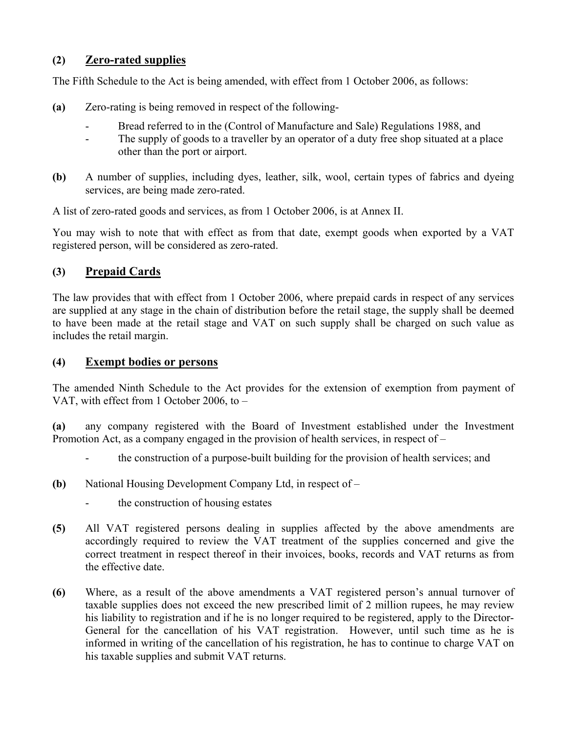## **(2) Zero-rated supplies**

The Fifth Schedule to the Act is being amended, with effect from 1 October 2006, as follows:

- **(a)** Zero-rating is being removed in respect of the following-
	- Bread referred to in the (Control of Manufacture and Sale) Regulations 1988, and
	- The supply of goods to a traveller by an operator of a duty free shop situated at a place other than the port or airport.
- **(b)** A number of supplies, including dyes, leather, silk, wool, certain types of fabrics and dyeing services, are being made zero-rated.

A list of zero-rated goods and services, as from 1 October 2006, is at Annex II.

You may wish to note that with effect as from that date, exempt goods when exported by a VAT registered person, will be considered as zero-rated.

## **(3) Prepaid Cards**

The law provides that with effect from 1 October 2006, where prepaid cards in respect of any services are supplied at any stage in the chain of distribution before the retail stage, the supply shall be deemed to have been made at the retail stage and VAT on such supply shall be charged on such value as includes the retail margin.

### **(4) Exempt bodies or persons**

The amended Ninth Schedule to the Act provides for the extension of exemption from payment of VAT, with effect from 1 October 2006, to –

**(a)** any company registered with the Board of Investment established under the Investment Promotion Act, as a company engaged in the provision of health services, in respect of –

- the construction of a purpose-built building for the provision of health services; and
- **(b)** National Housing Development Company Ltd, in respect of
	- the construction of housing estates
- **(5)** All VAT registered persons dealing in supplies affected by the above amendments are accordingly required to review the VAT treatment of the supplies concerned and give the correct treatment in respect thereof in their invoices, books, records and VAT returns as from the effective date.
- **(6)** Where, as a result of the above amendments a VAT registered person's annual turnover of taxable supplies does not exceed the new prescribed limit of 2 million rupees, he may review his liability to registration and if he is no longer required to be registered, apply to the Director- General for the cancellation of his VAT registration. However, until such time as he is informed in writing of the cancellation of his registration, he has to continue to charge VAT on his taxable supplies and submit VAT returns.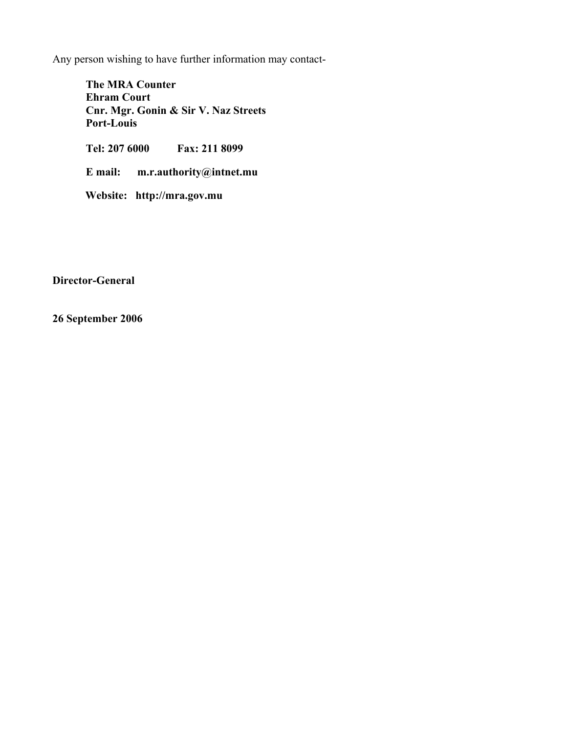Any person wishing to have further information may contact-

**The MRA Counter Ehram Court Cnr. Mgr. Gonin & Sir V. Naz Streets Port-Louis** 

**Tel: 207 6000 Fax: 211 8099** 

**E mail: m.r.authority@intnet.mu** 

 **Website: http://mra.gov.mu** 

**Director-General** 

**26 September 2006**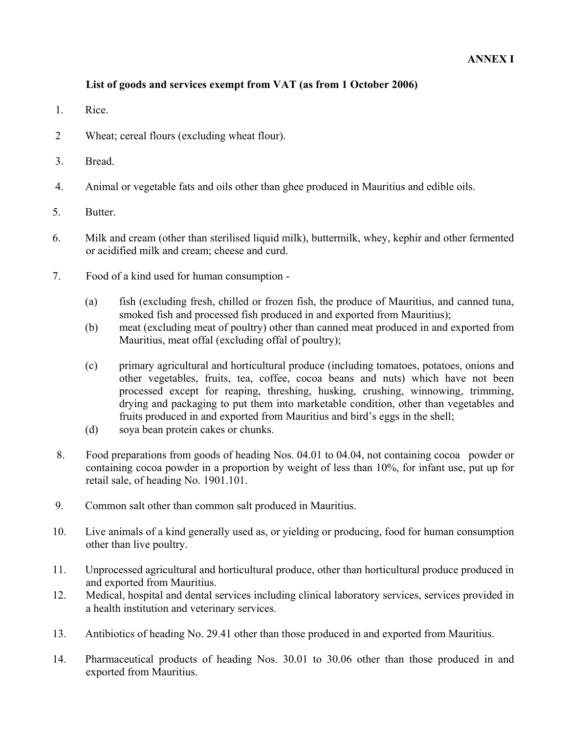### **List of goods and services exempt from VAT (as from 1 October 2006)**

- 1. Rice.
- 2 Wheat; cereal flours (excluding wheat flour).
- 3. Bread.
- 4. Animal or vegetable fats and oils other than ghee produced in Mauritius and edible oils.
- 5. Butter.
- 6. Milk and cream (other than sterilised liquid milk), buttermilk, whey, kephir and other fermented or acidified milk and cream; cheese and curd.
- 7. Food of a kind used for human consumption
	- (a) fish (excluding fresh, chilled or frozen fish, the produce of Mauritius, and canned tuna, smoked fish and processed fish produced in and exported from Mauritius);
	- (b) meat (excluding meat of poultry) other than canned meat produced in and exported from Mauritius, meat offal (excluding offal of poultry);
	- (c) primary agricultural and horticultural produce (including tomatoes, potatoes, onions and other vegetables, fruits, tea, coffee, cocoa beans and nuts) which have not been processed except for reaping, threshing, husking, crushing, winnowing, trimming, drying and packaging to put them into marketable condition, other than vegetables and fruits produced in and exported from Mauritius and bird's eggs in the shell;
	- (d) soya bean protein cakes or chunks.
- 8. Food preparations from goods of heading Nos. 04.01 to 04.04, not containing cocoa powder or containing cocoa powder in a proportion by weight of less than 10%, for infant use, put up for retail sale, of heading No. 1901.101.
- 9. Common salt other than common salt produced in Mauritius.
- 10. Live animals of a kind generally used as, or yielding or producing, food for human consumption other than live poultry.
- 11. Unprocessed agricultural and horticultural produce, other than horticultural produce produced in and exported from Mauritius.
- 12. Medical, hospital and dental services including clinical laboratory services, services provided in a health institution and veterinary services.
- 13. Antibiotics of heading No. 29.41 other than those produced in and exported from Mauritius.
- 14. Pharmaceutical products of heading Nos. 30.01 to 30.06 other than those produced in and exported from Mauritius.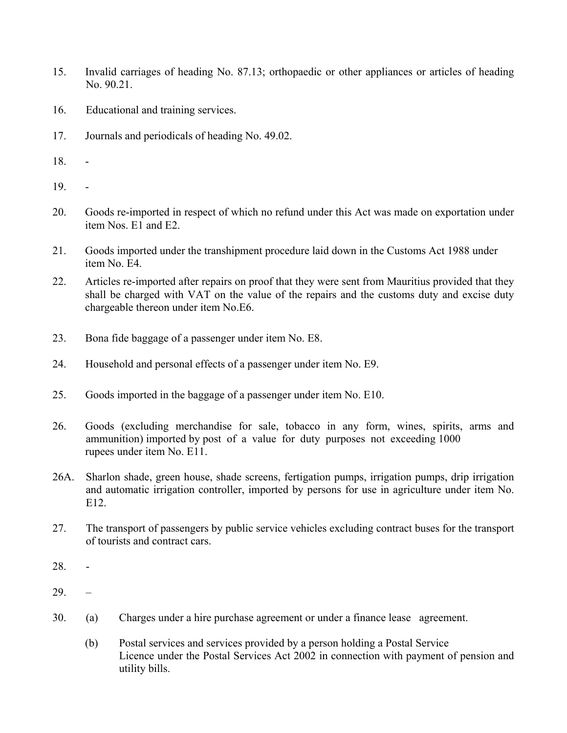- 15. Invalid carriages of heading No. 87.13; orthopaedic or other appliances or articles of heading No. 90.21.
- 16. Educational and training services.
- 17. Journals and periodicals of heading No. 49.02.
- 18. -
- 19. -
- 20. Goods re-imported in respect of which no refund under this Act was made on exportation under item Nos. E1 and E2.
- 21. Goods imported under the transhipment procedure laid down in the Customs Act 1988 under item No. E4.
- 22. Articles re-imported after repairs on proof that they were sent from Mauritius provided that they shall be charged with VAT on the value of the repairs and the customs duty and excise duty chargeable thereon under item No.E6.
- 23. Bona fide baggage of a passenger under item No. E8.
- 24. Household and personal effects of a passenger under item No. E9.
- 25. Goods imported in the baggage of a passenger under item No. E10.
- 26. Goods (excluding merchandise for sale, tobacco in any form, wines, spirits, arms and ammunition) imported by post of a value for duty purposes not exceeding 1000 rupees under item No. E11.
- 26A. Sharlon shade, green house, shade screens, fertigation pumps, irrigation pumps, drip irrigation and automatic irrigation controller, imported by persons for use in agriculture under item No. E12.
- 27. The transport of passengers by public service vehicles excluding contract buses for the transport of tourists and contract cars.
- 28. -
- 29. –
- 30. (a) Charges under a hire purchase agreement or under a finance lease agreement.
	- (b) Postal services and services provided by a person holding a Postal Service Licence under the Postal Services Act 2002 in connection with payment of pension and utility bills.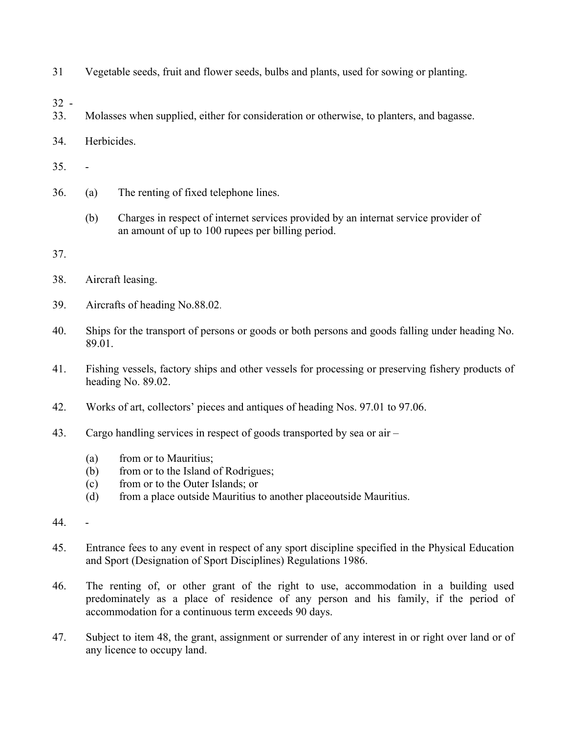- 31 Vegetable seeds, fruit and flower seeds, bulbs and plants, used for sowing or planting.
- 32 -
- 33. Molasses when supplied, either for consideration or otherwise, to planters, and bagasse.
- 34. Herbicides.
- 35. -
- 36. (a) The renting of fixed telephone lines.
	- (b) Charges in respect of internet services provided by an internat service provider of an amount of up to 100 rupees per billing period.
- 37.
- 38. Aircraft leasing.
- 39. Aircrafts of heading No.88.02.
- 40. Ships for the transport of persons or goods or both persons and goods falling under heading No. 89.01.
- 41. Fishing vessels, factory ships and other vessels for processing or preserving fishery products of heading No. 89.02.
- 42. Works of art, collectors' pieces and antiques of heading Nos. 97.01 to 97.06.
- 43. Cargo handling services in respect of goods transported by sea or air
	- (a) from or to Mauritius;
	- (b) from or to the Island of Rodrigues;
	- (c) from or to the Outer Islands; or
	- (d) from a place outside Mauritius to another placeoutside Mauritius.
- 44. -
- 45. Entrance fees to any event in respect of any sport discipline specified in the Physical Education and Sport (Designation of Sport Disciplines) Regulations 1986.
- 46. The renting of, or other grant of the right to use, accommodation in a building used predominately as a place of residence of any person and his family, if the period of accommodation for a continuous term exceeds 90 days.
- 47. Subject to item 48, the grant, assignment or surrender of any interest in or right over land or of any licence to occupy land.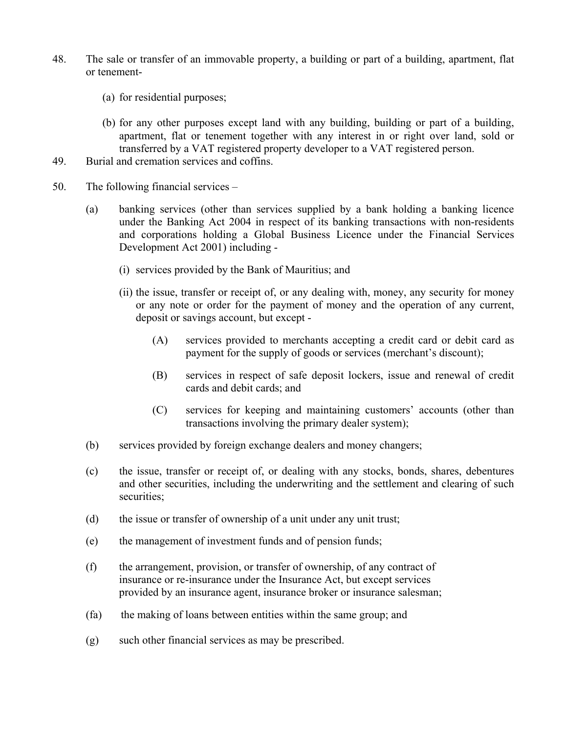- 48. The sale or transfer of an immovable property, a building or part of a building, apartment, flat or tenement-
	- (a) for residential purposes;
	- (b) for any other purposes except land with any building, building or part of a building, apartment, flat or tenement together with any interest in or right over land, sold or transferred by a VAT registered property developer to a VAT registered person.
- 49. Burial and cremation services and coffins.
- 50. The following financial services
	- (a) banking services (other than services supplied by a bank holding a banking licence under the Banking Act 2004 in respect of its banking transactions with non-residents and corporations holding a Global Business Licence under the Financial Services Development Act 2001) including -
		- (i) services provided by the Bank of Mauritius; and
		- (ii) the issue, transfer or receipt of, or any dealing with, money, any security for money or any note or order for the payment of money and the operation of any current, deposit or savings account, but except -
			- (A) services provided to merchants accepting a credit card or debit card as payment for the supply of goods or services (merchant's discount);
			- (B) services in respect of safe deposit lockers, issue and renewal of credit cards and debit cards; and
			- (C) services for keeping and maintaining customers' accounts (other than transactions involving the primary dealer system);
	- (b) services provided by foreign exchange dealers and money changers;
	- (c) the issue, transfer or receipt of, or dealing with any stocks, bonds, shares, debentures and other securities, including the underwriting and the settlement and clearing of such securities;
	- (d) the issue or transfer of ownership of a unit under any unit trust;
	- (e) the management of investment funds and of pension funds;
	- (f) the arrangement, provision, or transfer of ownership, of any contract of insurance or re-insurance under the Insurance Act, but except services provided by an insurance agent, insurance broker or insurance salesman;
	- (fa) the making of loans between entities within the same group; and
	- (g) such other financial services as may be prescribed.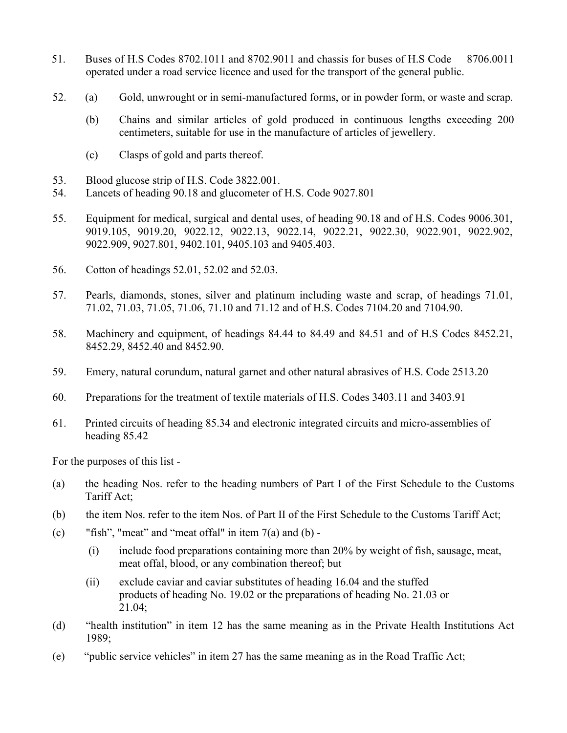- 51. Buses of H.S Codes 8702.1011 and 8702.9011 and chassis for buses of H.S Code 8706.0011 operated under a road service licence and used for the transport of the general public.
- 52. (a) Gold, unwrought or in semi-manufactured forms, or in powder form, or waste and scrap.
	- (b) Chains and similar articles of gold produced in continuous lengths exceeding 200 centimeters, suitable for use in the manufacture of articles of jewellery.
	- (c) Clasps of gold and parts thereof.
- 53. Blood glucose strip of H.S. Code 3822.001.
- 54. Lancets of heading 90.18 and glucometer of H.S. Code 9027.801
- 55. Equipment for medical, surgical and dental uses, of heading 90.18 and of H.S. Codes 9006.301, 9019.105, 9019.20, 9022.12, 9022.13, 9022.14, 9022.21, 9022.30, 9022.901, 9022.902, 9022.909, 9027.801, 9402.101, 9405.103 and 9405.403.
- 56. Cotton of headings 52.01, 52.02 and 52.03.
- 57. Pearls, diamonds, stones, silver and platinum including waste and scrap, of headings 71.01, 71.02, 71.03, 71.05, 71.06, 71.10 and 71.12 and of H.S. Codes 7104.20 and 7104.90.
- 58. Machinery and equipment, of headings 84.44 to 84.49 and 84.51 and of H.S Codes 8452.21, 8452.29, 8452.40 and 8452.90.
- 59. Emery, natural corundum, natural garnet and other natural abrasives of H.S. Code 2513.20
- 60. Preparations for the treatment of textile materials of H.S. Codes 3403.11 and 3403.91
- 61. Printed circuits of heading 85.34 and electronic integrated circuits and micro-assemblies of heading 85.42

For the purposes of this list -

- (a) the heading Nos. refer to the heading numbers of Part I of the First Schedule to the Customs Tariff Act;
- (b) the item Nos. refer to the item Nos. of Part II of the First Schedule to the Customs Tariff Act;
- (c) "fish", "meat" and "meat offal" in item  $7(a)$  and (b) -
	- (i) include food preparations containing more than 20% by weight of fish, sausage, meat, meat offal, blood, or any combination thereof; but
	- (ii) exclude caviar and caviar substitutes of heading 16.04 and the stuffed products of heading No. 19.02 or the preparations of heading No. 21.03 or 21.04;
- (d) "health institution" in item 12 has the same meaning as in the Private Health Institutions Act 1989;
- (e) "public service vehicles" in item 27 has the same meaning as in the Road Traffic Act;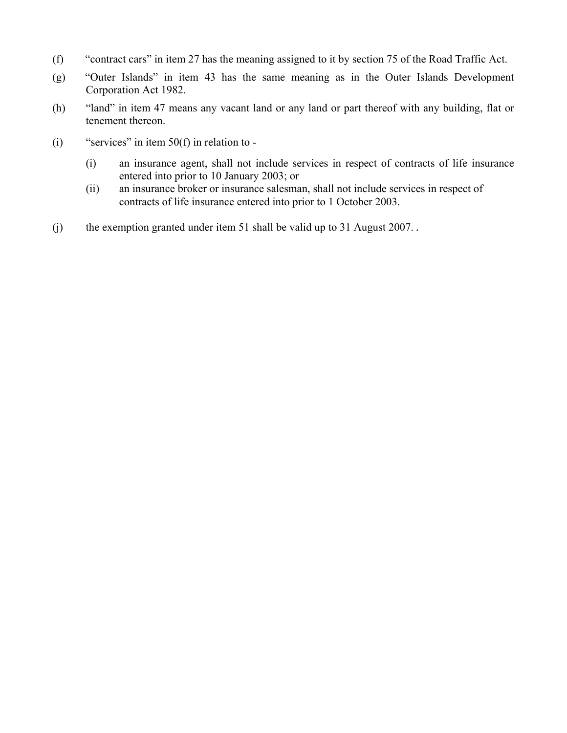- (f) "contract cars" in item 27 has the meaning assigned to it by section 75 of the Road Traffic Act.
- (g) "Outer Islands" in item 43 has the same meaning as in the Outer Islands Development Corporation Act 1982.
- (h) "land" in item 47 means any vacant land or any land or part thereof with any building, flat or tenement thereon.
- (i) "services" in item  $50(f)$  in relation to -
	- (i) an insurance agent, shall not include services in respect of contracts of life insurance entered into prior to 10 January 2003; or
	- (ii) an insurance broker or insurance salesman, shall not include services in respect of contracts of life insurance entered into prior to 1 October 2003.
- (j) the exemption granted under item 51 shall be valid up to 31 August 2007. **.**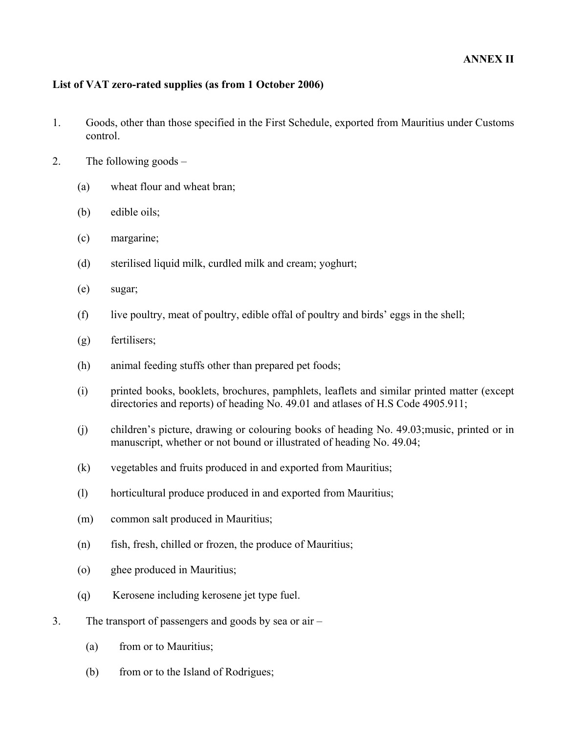#### **List of VAT zero-rated supplies (as from 1 October 2006)**

- 1. Goods, other than those specified in the First Schedule, exported from Mauritius under Customs control.
- 2. The following goods
	- (a) wheat flour and wheat bran;
	- (b) edible oils;
	- (c) margarine;
	- (d) sterilised liquid milk, curdled milk and cream; yoghurt;
	- (e) sugar;
	- (f) live poultry, meat of poultry, edible offal of poultry and birds' eggs in the shell;
	- (g) fertilisers;
	- (h) animal feeding stuffs other than prepared pet foods;
	- (i) printed books, booklets, brochures, pamphlets, leaflets and similar printed matter (except directories and reports) of heading No. 49.01 and atlases of H.S Code 4905.911;
	- (j) children's picture, drawing or colouring books of heading No. 49.03;music, printed or in manuscript, whether or not bound or illustrated of heading No. 49.04;
	- (k) vegetables and fruits produced in and exported from Mauritius;
	- (l) horticultural produce produced in and exported from Mauritius;
	- (m) common salt produced in Mauritius;
	- (n) fish, fresh, chilled or frozen, the produce of Mauritius;
	- (o) ghee produced in Mauritius;
	- (q) Kerosene including kerosene jet type fuel.
- 3. The transport of passengers and goods by sea or air
	- (a) from or to Mauritius;
	- (b) from or to the Island of Rodrigues;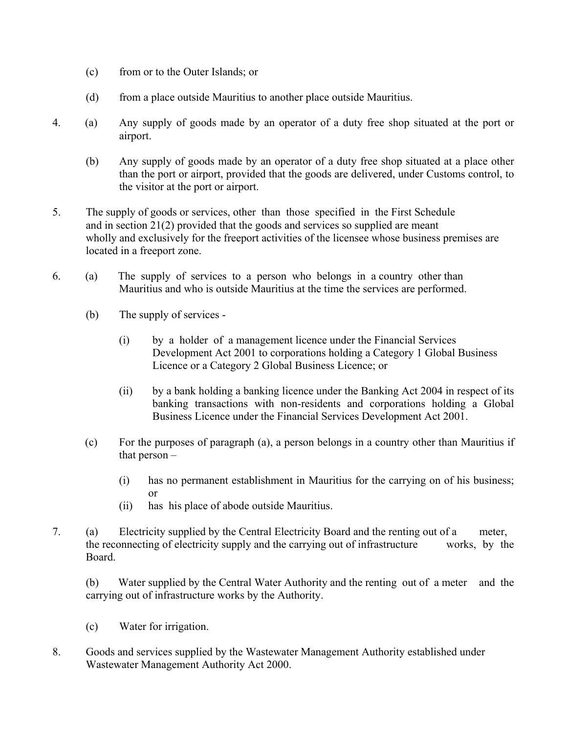- (c) from or to the Outer Islands; or
- (d) from a place outside Mauritius to another place outside Mauritius.
- 4. (a) Any supply of goods made by an operator of a duty free shop situated at the port or airport.
	- (b) Any supply of goods made by an operator of a duty free shop situated at a place other than the port or airport, provided that the goods are delivered, under Customs control, to the visitor at the port or airport.
- 5. The supply of goods or services, other than those specified in the First Schedule and in section 21(2) provided that the goods and services so supplied are meant wholly and exclusively for the freeport activities of the licensee whose business premises are located in a freeport zone.
- 6. (a) The supply of services to a person who belongs in a country other than Mauritius and who is outside Mauritius at the time the services are performed.
	- (b) The supply of services
		- (i) by a holder of a management licence under the Financial Services Development Act 2001 to corporations holding a Category 1 Global Business Licence or a Category 2 Global Business Licence; or
		- (ii) by a bank holding a banking licence under the Banking Act 2004 in respect of its banking transactions with non-residents and corporations holding a Global Business Licence under the Financial Services Development Act 2001.
	- (c) For the purposes of paragraph (a), a person belongs in a country other than Mauritius if that person –
		- (i) has no permanent establishment in Mauritius for the carrying on of his business; or
		- (ii) has his place of abode outside Mauritius.
- 7. (a) Electricity supplied by the Central Electricity Board and the renting out of a meter, the reconnecting of electricity supply and the carrying out of infrastructure works, by the Board.

 (b) Water supplied by the Central Water Authority and the renting out of a meter and the carrying out of infrastructure works by the Authority.

- (c) Water for irrigation.
- 8. Goods and services supplied by the Wastewater Management Authority established under Wastewater Management Authority Act 2000.